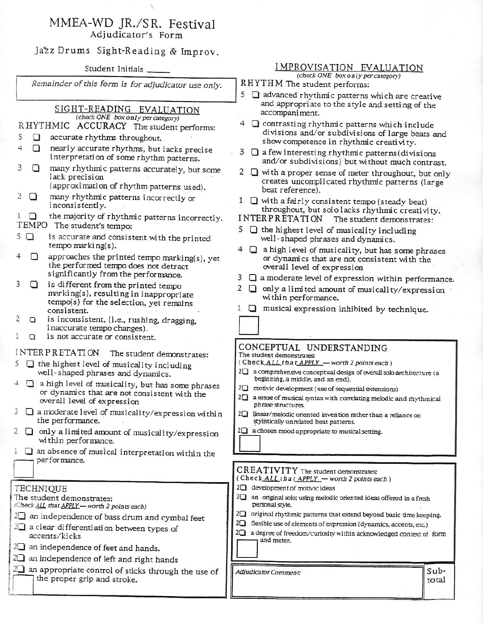### MMEA-WD JR./SR. Festival Adjudicator's Form

## Jazz Drums Sight-Reading & Improv.

Student Initials

Remainder of this form is for adjudicator use only.

#### SIGHT-READING EVALUATION (check ONE box only per category)

RHYTHMIC ACCURACY The student performs:

- 5 accurate rhythms throughout. 0
- $\Delta$  $\Box$ nearly accurate rhythms, but lacks precise interpretation of some rhythm patterns.
- many rhythmic patterns accurately, but some 3  $\Box$ lack precision (approximation of rhythm patterns used).
	- many rhythmic patterns incorrectly or  $\Box$
- 2 inconsistently.
- $1\Box$ the majority of rhythmic patterns incorrectly. TEMPO The student's tempo:
- $5\Box$ is accurate and consistent with the printed tempo marking $(s)$ .
- approaches the printed tempo marking(s), yet  $\Box$ the performed tempo does not detract significantly from the performance.
- is different from the printed tempo 3 n. marking(s), resulting in inappropriate tempo(s) for the selection, yet remains consistent.
- is inconsistent, (i.e., rushing, dragging,  $\Box$ inaccurate tempo changes).
- $\Box$ is not accurate or consistent.

### INTERPRETATION The student demonstrates:

- 5  $\Box$  the highest level of musicality including well-shaped phrases and dynamics.
- $\Box$  a high level of musicality, but has some phrases  $\overline{\mathbf{1}}$ or dynamics that are not consistent with the overall level of expression
- $3 \Box$  a moderate level of musicality/expression within the performance.
- 2  $\Box$  only a limited amount of musicality/expression within performance.
- $1 \square$  an absence of musical interpretation within the performance.

### **TECHNIQUE**

|                                                                                       | The student demonstrates: |  |
|---------------------------------------------------------------------------------------|---------------------------|--|
| $\mathbf{r} = \mathbf{r}$ and $\mathbf{r} = \mathbf{r}$ and $\mathbf{r} = \mathbf{r}$ |                           |  |

- (Check <u>ALL</u> that APPLY worth 2 points each)
- $2\Box$  an independence of bass drum and cymbal feet 2<sup>1</sup> a clear differentiation between types of accents/kicks
- $2\Box$  an independence of feet and hands.
- 2<sup>1</sup> an independence of left and right hands
- $2\Box$  an appropriate control of sticks through the use of the proper grip and stroke.

## IMPROVISATION EVALUATION

(check ONE box only per category)

- RHYTHM The student performs:
- 5 advanced rhythmic patterns which are creative and appropriate to the style and setting of the accompaniment.
- 4 C contrasting rhythmic patterns which include divisions and/or subdivisions of large beats and show competence in rhythmic creativity.
- $3 \Box$  a few interesting rhythmic patterns (divisions and/or subdivisions) but without much contrast.
- 2  $\Box$  with a proper sense of meter throughout, but only creates uncomplicated rhythmic patterns (large beat reference).
- 1  $\Box$  with a fairly consistent tempo (steady beat) throughout, but solo lacks rhythmic creativity.
- **INTERPRETATION** The student demonstrates.
- $5 \Box$  the highest level of musicality including well-shaped phrases and dynamics.
- $4 \Box$  a high level of musicality, but has some phrases or dynamics that are not consistent with the overall level of expression
- 3 Q a moderate level of expression within performance.
- 2  $\Box$  only a limited amount of musicality/expression within performance.
- musical expression inhibited by technique.  $1\Box$

### CONCEPTUAL UNDERSTANDING

The student demonstrates:

- (Check ALL that APPLY worth 2 points each)
- 2<sup>1</sup> a comprehensive conceptual design of overall solo architecture (a beginning, a middle, and an end).
- 2<sup>1</sup> motivic development (use of sequential extensions)
- 2<sup>1</sup> a sense of musical syntax with correlating melodic and rhythmical phrase structures.
- 2<sup>1</sup> linear/melodic oriented invention rather than a reliance on stylistically unrelated beat patterns.
- $2\Box$  a chosen mood appropriate to musical setting.

#### CREATIVITY The student demonstrates: (Check ALL that APPLY - worth 2 points each)

- 2<sup>1</sup> development of motivic ideas
- 2<sup>1</sup> an original solo; using melodic oriented ideas offered in a fresh personal style.
- 2<sup>1</sup> original rhythmic patterns that extend beyond basic time keeping.
- 2<sup>1</sup> flexible use of elements of expression (dynamics, accents, etc.)
- 2<sup>1</sup> a degree of freedom/curiosity within acknowledged context of form and meter.

Adjudicator Comment: